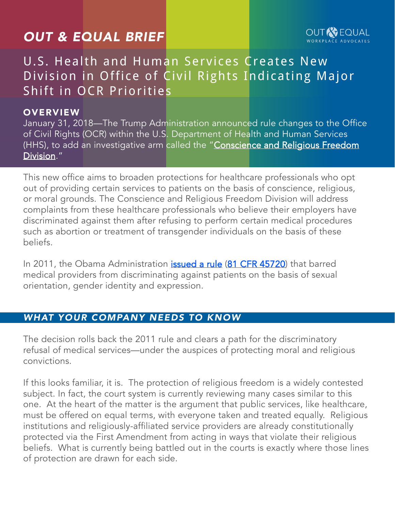# *OUT & EQUAL BRIEF*

#### **OUT AVEQUAL** WORKPLACE ADVOCATES

## U.S. Health and Human Services Creates New Division in Office of Civil Rights Indicating Major Shift in OCR Priorities

#### **OVERVIEW**

January 31, 2018—The Trump Administration announced rule changes to the Office of Civil Rights (OCR) within the U.S. Department of Health and Human Services (HHS), to add an investigative arm called the "Conscience and Religious Freedom [Division](https://www.hhs.gov/conscience/index.html)."

This new office aims to broaden protections for healthcare professionals who opt out of providing certain services to patients on the basis of conscience, religious, or moral grounds. The Conscience and Religious Freedom Division will address complaints from these healthcare professionals who believe their employers have discriminated against them after refusing to perform certain medical procedures such as abortion or treatment of transgender individuals on the basis of these beliefs.

In 2011, the Obama Administration *[issued a rule](https://www.hhs.gov/programs/topic-sites/lgbt/reports/health-objectives-2016.html)* ([81 CFR 45720](https://www.hhs.gov/programs/topic-sites/lgbt/reports/health-objectives-2016.html)) that barred medical providers from discriminating against patients on the basis of sexual orientation, gender identity and expression.

#### *WHAT YOUR COMPANY NEEDS TO KNOW*

The decision rolls back the 2011 rule and clears a path for the discriminatory refusal of medical services—under the auspices of protecting moral and religious convictions.

If this looks familiar, it is. The protection of religious freedom is a widely contested subject. In fact, the court system is currently reviewing many cases similar to this one. At the heart of the matter is the argument that public services, like healthcare, must be offered on equal terms, with everyone taken and treated equally. Religious institutions and religiously-affiliated service providers are already constitutionally protected via the First Amendment from acting in ways that violate their religious beliefs. What is currently being battled out in the courts is exactly where those lines of protection are drawn for each side.